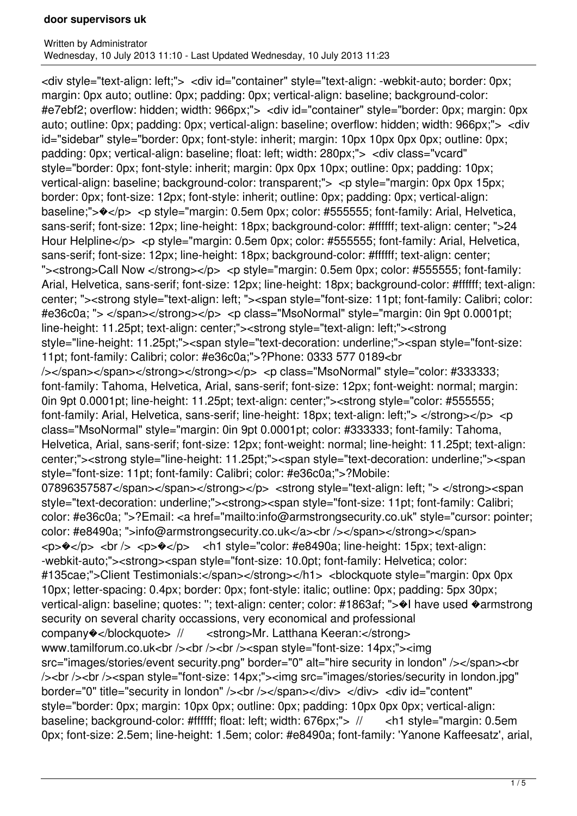<div style="text-align: left;"> <div id="container" style="text-align: -webkit-auto; border: 0px; margin: 0px auto; outline: 0px; padding: 0px; vertical-align: baseline; background-color: #e7ebf2; overflow: hidden; width: 966px;"> <div id="container" style="border: 0px; margin: 0px auto; outline: 0px; padding: 0px; vertical-align: baseline; overflow: hidden; width: 966px;"> <div id="sidebar" style="border: 0px; font-style: inherit; margin: 10px 10px 0px 0px; outline: 0px; padding: 0px; vertical-align: baseline; float: left; width: 280px;"> <div class="vcard" style="border: 0px; font-style: inherit; margin: 0px 0px 10px; outline: 0px; padding: 10px; vertical-align: baseline; background-color: transparent;"> <p style="margin: 0px 0px 15px; border: 0px; font-size: 12px; font-style: inherit; outline: 0px; padding: 0px; vertical-align: baseline;"> $\rightarrow$ </p> <p style="margin: 0.5em 0px; color: #555555; font-family: Arial, Helvetica, sans-serif; font-size: 12px; line-height: 18px; background-color: #ffffff; text-align: center; ">24 Hour Helpline</p> <p style="margin: 0.5em 0px; color: #555555; font-family: Arial, Helvetica, sans-serif; font-size: 12px; line-height: 18px; background-color: #ffffff; text-align: center; " $\ge$ strong>Call Now </strong></p> <p style="margin: 0.5em 0px; color: #555555; font-family: Arial, Helvetica, sans-serif; font-size: 12px; line-height: 18px; background-color: #ffffff; text-align: center; "><strong style="text-align: left; "><span style="font-size: 11pt; font-family: Calibri; color: #e36c0a; "> </span></strong></p> <p class="MsoNormal" style="margin: 0in 9pt 0.0001pt; line-height: 11.25pt; text-align: center;"><strong style="text-align: left;"><strong style="line-height: 11.25pt;"><span style="text-decoration: underline;"><span style="font-size: 11pt; font-family: Calibri; color: #e36c0a;">?Phone: 0333 577 0189<br /></span></span></strong></strong></p> <p class="MsoNormal" style="color: #333333; font-family: Tahoma, Helvetica, Arial, sans-serif; font-size: 12px; font-weight: normal; margin: 0in 9pt 0.0001pt; line-height: 11.25pt; text-align: center;"><strong style="color: #555555; font-family: Arial, Helvetica, sans-serif; line-height: 18px; text-align: left;"> </strong></p> <p class="MsoNormal" style="margin: 0in 9pt 0.0001pt; color: #333333; font-family: Tahoma, Helvetica, Arial, sans-serif; font-size: 12px; font-weight: normal; line-height: 11.25pt; text-align: center;"><strong style="line-height: 11.25pt;"><span style="text-decoration: underline;"><span style="font-size: 11pt; font-family: Calibri; color: #e36c0a;">?Mobile: 07896357587</span></span></strong></p></strong style="text-align: left; "> </strong><span style="text-decoration: underline;"><strong><span style="font-size: 11pt; font-family: Calibri; color: #e36c0a; ">?Email: <a href="mailto:info@armstrongsecurity.co.uk" style="cursor: pointer; color: #e8490a; ">info@armstrongsecurity.co.uk</a><br />>/>></span></strong></span>  $\langle p \rangle \langle p \rangle$  <br />  $\langle p \rangle \langle p \rangle$  < /p>  $\langle p \rangle$  < /h1 style="color: #e8490a; line-height: 15px; text-align: -webkit-auto;"><strong><span style="font-size: 10.0pt; font-family: Helvetica; color: #135cae;">Client Testimonials:</span></strong></h1> <br/>blockquote style="margin: 0px 0px 10px; letter-spacing: 0.4px; border: 0px; font-style: italic; outline: 0px; padding: 5px 30px; vertical-align: baseline; quotes: ''; text-align: center; color: #1863af; ">�I have used �armstrong security on several charity occassions, very economical and professional company�</blockquote> // <strong>Mr. Latthana Keeran:</strong> www.tamilforum.co.uk<br />>/>><br />>/>><br />>/>><span style="font-size: 14px;"><img src="images/stories/event security.png" border="0" alt="hire security in london" /></span><br/>>br /><br /><br /><span style="font-size: 14px;"><img src="images/stories/security in london.jpg" border="0" title="security in london" /><br />> /></span></div> </div> <div id="content" style="border: 0px; margin: 10px 0px; outline: 0px; padding: 10px 0px 0px; vertical-align: baseline; background-color: #ffffff; float: left; width: 676px;"> // <h1 style="margin: 0.5em 0px; font-size: 2.5em; line-height: 1.5em; color: #e8490a; font-family: 'Yanone Kaffeesatz', arial,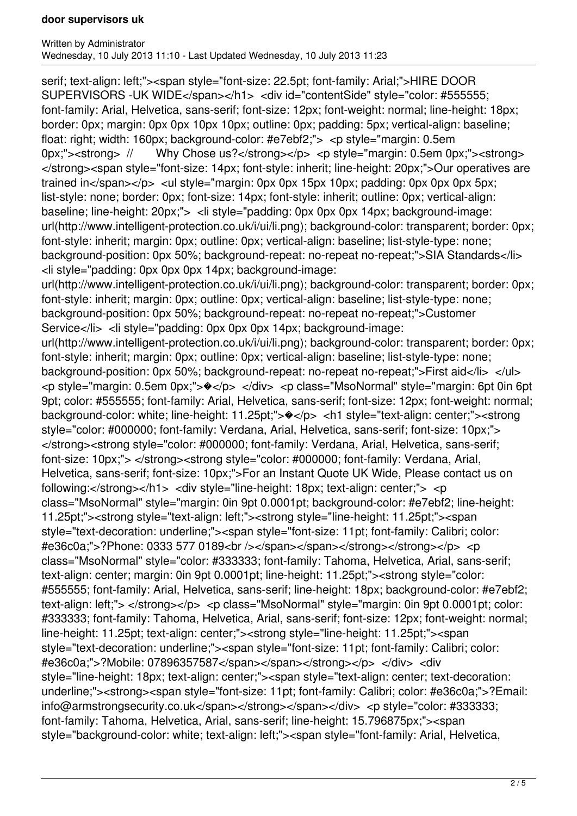serif; text-align: left;"><span style="font-size: 22.5pt; font-family: Arial;">HIRE DOOR SUPERVISORS -UK WIDE</span></h1> <div id="contentSide" style="color: #555555; font-family: Arial, Helvetica, sans-serif; font-size: 12px; font-weight: normal; line-height: 18px; border: 0px; margin: 0px 0px 10px 10px; outline: 0px; padding: 5px; vertical-align: baseline; float: right; width: 160px; background-color: #e7ebf2;"> <p style="margin: 0.5em 0px;">  $\lt$ strong> // Why Chose us?  $\lt$ /strong>  $\lt$ /p>  $\lt$ p style="margin: 0.5em 0px;">  $\lt$ strong> </strong><span style="font-size: 14px; font-style: inherit; line-height: 20px;">Our operatives are trained in</span></p> <ul style="margin: 0px 0px 15px 10px; padding: 0px 0px 0px 5px; list-style: none; border: 0px; font-size: 14px; font-style: inherit; outline: 0px; vertical-align: baseline; line-height: 20px;"> <li style="padding: 0px 0px 0px 14px; background-image: url(http://www.intelligent-protection.co.uk/i/ui/li.png); background-color: transparent; border: 0px; font-style: inherit; margin: 0px; outline: 0px; vertical-align: baseline; list-style-type: none; background-position: 0px 50%; background-repeat: no-repeat no-repeat;">SIA Standards</li> <li style="padding: 0px 0px 0px 14px; background-image: url(http://www.intelligent-protection.co.uk/i/ui/li.png); background-color: transparent; border: 0px; font-style: inherit; margin: 0px; outline: 0px; vertical-align: baseline; list-style-type: none; background-position: 0px 50%; background-repeat: no-repeat no-repeat;">Customer Service</li> <li style="padding: 0px 0px 0px 14px; background-image: url(http://www.intelligent-protection.co.uk/i/ui/li.png); background-color: transparent; border: 0px; font-style: inherit; margin: 0px; outline: 0px; vertical-align: baseline; list-style-type: none; background-position: 0px 50%; background-repeat: no-repeat no-repeat;">First aid</li> </ul> <p style="margin: 0.5em 0px;">�</p> </div> <p class="MsoNormal" style="margin: 6pt 0in 6pt 9pt; color: #555555; font-family: Arial, Helvetica, sans-serif; font-size: 12px; font-weight: normal; background-color: white; line-height: 11.25pt;">�</p> <h1 style="text-align: center;"><strong style="color: #000000; font-family: Verdana, Arial, Helvetica, sans-serif; font-size: 10px;"> </strong><strong style="color: #000000; font-family: Verdana, Arial, Helvetica, sans-serif; font-size: 10px;"> </strong><strong style="color: #000000; font-family: Verdana, Arial, Helvetica, sans-serif; font-size: 10px;">For an Instant Quote UK Wide, Please contact us on following:</strong></h1> <div style="line-height: 18px; text-align: center;"> <p class="MsoNormal" style="margin: 0in 9pt 0.0001pt; background-color: #e7ebf2; line-height: 11.25pt;"><strong style="text-align: left;"><strong style="line-height: 11.25pt;"><span style="text-decoration: underline;"><span style="font-size: 11pt; font-family: Calibri; color: #e36c0a;">?Phone: 0333 577 0189<br /></span></span></strong></strong></p> <p class="MsoNormal" style="color: #333333; font-family: Tahoma, Helvetica, Arial, sans-serif; text-align: center; margin: 0in 9pt 0.0001pt; line-height: 11.25pt;"><strong style="color: #555555; font-family: Arial, Helvetica, sans-serif; line-height: 18px; background-color: #e7ebf2; text-align: left;"> </strong></p> <p class="MsoNormal" style="margin: 0in 9pt 0.0001pt; color: #333333; font-family: Tahoma, Helvetica, Arial, sans-serif; font-size: 12px; font-weight: normal; line-height: 11.25pt; text-align: center;"><strong style="line-height: 11.25pt;"><span style="text-decoration: underline;"><span style="font-size: 11pt; font-family: Calibri; color: #e36c0a;">?Mobile: 07896357587</span></span></strong></p> </div> <div style="line-height: 18px; text-align: center;"><span style="text-align: center; text-decoration: underline;"><strong><span style="font-size: 11pt; font-family: Calibri; color: #e36c0a;">?Email: info@armstrongsecurity.co.uk</span></strong></span></div> <p style="color: #333333; font-family: Tahoma, Helvetica, Arial, sans-serif; line-height: 15.796875px;"><span style="background-color: white; text-align: left;"><span style="font-family: Arial, Helvetica,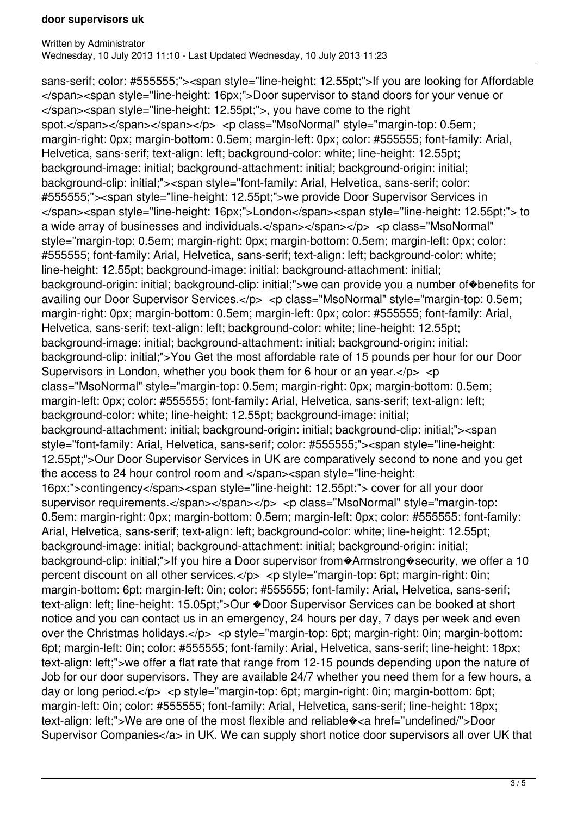sans-serif; color: #555555;"><span style="line-height: 12.55pt;">If you are looking for Affordable </span><span style="line-height: 16px;">Door supervisor to stand doors for your venue or </span><span style="line-height: 12.55pt;">, you have come to the right spot.</span></span></span></p>></p>> <p class="MsoNormal" style="margin-top: 0.5em; margin-right: 0px; margin-bottom: 0.5em; margin-left: 0px; color: #555555; font-family: Arial, Helvetica, sans-serif; text-align: left; background-color: white; line-height: 12.55pt; background-image: initial; background-attachment: initial; background-origin: initial; background-clip: initial;"><span style="font-family: Arial, Helvetica, sans-serif; color: #555555;"><span style="line-height: 12.55pt;">we provide Door Supervisor Services in </span><span style="line-height: 16px;">London</span><span style="line-height: 12.55pt;"> to a wide array of businesses and individuals.</span></span></p></p>>>>>> <p class="MsoNormal" style="margin-top: 0.5em; margin-right: 0px; margin-bottom: 0.5em; margin-left: 0px; color: #555555; font-family: Arial, Helvetica, sans-serif; text-align: left; background-color: white; line-height: 12.55pt; background-image: initial; background-attachment: initial; background-origin: initial; background-clip: initial;">we can provide you a number of�benefits for availing our Door Supervisor Services.</p> <p class="MsoNormal" style="margin-top: 0.5em; margin-right: 0px; margin-bottom: 0.5em; margin-left: 0px; color: #555555; font-family: Arial, Helvetica, sans-serif; text-align: left; background-color: white; line-height: 12.55pt; background-image: initial; background-attachment: initial; background-origin: initial; background-clip: initial;">You Get the most affordable rate of 15 pounds per hour for our Door Supervisors in London, whether you book them for 6 hour or an year. $<$ /p $>$  $<$ p class="MsoNormal" style="margin-top: 0.5em; margin-right: 0px; margin-bottom: 0.5em; margin-left: 0px; color: #555555; font-family: Arial, Helvetica, sans-serif; text-align: left; background-color: white; line-height: 12.55pt; background-image: initial; background-attachment: initial; background-origin: initial; background-clip: initial;"><span style="font-family: Arial, Helvetica, sans-serif; color: #555555;"><span style="line-height: 12.55pt;">Our Door Supervisor Services in UK are comparatively second to none and you get the access to 24 hour control room and </span><span style="line-height: 16px;">contingency</span><span style="line-height: 12.55pt;"> cover for all your door supervisor requirements.</span></span></p><p <p class="MsoNormal" style="margin-top: 0.5em; margin-right: 0px; margin-bottom: 0.5em; margin-left: 0px; color: #555555; font-family: Arial, Helvetica, sans-serif; text-align: left; background-color: white; line-height: 12.55pt; background-image: initial; background-attachment: initial; background-origin: initial; background-clip: initial;">If you hire a Door supervisor from�Armstrong�security, we offer a 10 percent discount on all other services.</p> <p style="margin-top: 6pt; margin-right: 0in; margin-bottom: 6pt; margin-left: 0in; color: #555555; font-family: Arial, Helvetica, sans-serif; text-align: left; line-height: 15.05pt;">Our �Door Supervisor Services can be booked at short notice and you can contact us in an emergency, 24 hours per day, 7 days per week and even over the Christmas holidays.</p> <p style="margin-top: 6pt; margin-right: 0in; margin-bottom: 6pt; margin-left: 0in; color: #555555; font-family: Arial, Helvetica, sans-serif; line-height: 18px; text-align: left;">we offer a flat rate that range from 12-15 pounds depending upon the nature of Job for our door supervisors. They are available 24/7 whether you need them for a few hours, a day or long period.</p> <p style="margin-top: 6pt; margin-right: 0in; margin-bottom: 6pt; margin-left: 0in; color: #555555; font-family: Arial, Helvetica, sans-serif; line-height: 18px; text-align: left;">We are one of the most flexible and reliable�<a href="undefined/">Door Supervisor Companies</a> in UK. We can supply short notice door supervisors all over UK that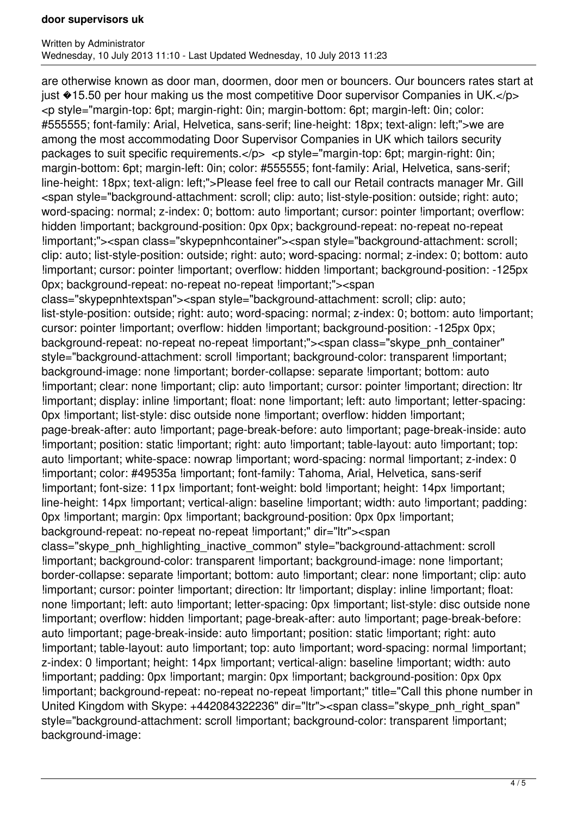are otherwise known as door man, doormen, door men or bouncers. Our bouncers rates start at just  $*15.50$  per hour making us the most competitive Door supervisor Companies in UK. $<$ /p> <p style="margin-top: 6pt; margin-right: 0in; margin-bottom: 6pt; margin-left: 0in; color: #555555; font-family: Arial, Helvetica, sans-serif; line-height: 18px; text-align: left;">we are among the most accommodating Door Supervisor Companies in UK which tailors security packages to suit specific requirements.</p> <p style="margin-top: 6pt; margin-right: 0in; margin-bottom: 6pt; margin-left: 0in; color: #555555; font-family: Arial, Helvetica, sans-serif; line-height: 18px; text-align: left;">Please feel free to call our Retail contracts manager Mr. Gill <span style="background-attachment: scroll; clip: auto; list-style-position: outside; right: auto; word-spacing: normal; z-index: 0; bottom: auto !important; cursor: pointer !important; overflow: hidden !important; background-position: 0px 0px; background-repeat: no-repeat no-repeat !important;"><span class="skypepnhcontainer"><span style="background-attachment: scroll; clip: auto; list-style-position: outside; right: auto; word-spacing: normal; z-index: 0; bottom: auto !important; cursor: pointer !important; overflow: hidden !important; background-position: -125px 0px; background-repeat: no-repeat no-repeat !important;"><span class="skypepnhtextspan"><span style="background-attachment: scroll; clip: auto; list-style-position: outside; right: auto; word-spacing: normal; z-index: 0; bottom: auto !important; cursor: pointer !important; overflow: hidden !important; background-position: -125px 0px; background-repeat: no-repeat no-repeat !important;"><span class="skype\_pnh\_container" style="background-attachment: scroll !important; background-color: transparent !important; background-image: none !important; border-collapse: separate !important; bottom: auto !important; clear: none !important; clip: auto !important; cursor: pointer !important; direction: ltr !important; display: inline !important; float: none !important; left: auto !important; letter-spacing: 0px !important; list-style: disc outside none !important; overflow: hidden !important; page-break-after: auto !important; page-break-before: auto !important; page-break-inside: auto !important; position: static !important; right: auto !important; table-layout: auto !important; top: auto !important; white-space: nowrap !important; word-spacing: normal !important; z-index: 0 !important; color: #49535a !important; font-family: Tahoma, Arial, Helvetica, sans-serif !important; font-size: 11px !important; font-weight: bold !important; height: 14px !important; line-height: 14px !important; vertical-align: baseline !important; width: auto !important; padding: 0px !important; margin: 0px !important; background-position: 0px 0px !important; background-repeat: no-repeat no-repeat !important;" dir="ltr"><span class="skype\_pnh\_highlighting\_inactive\_common" style="background-attachment: scroll !important; background-color: transparent !important; background-image: none !important; border-collapse: separate !important; bottom: auto !important; clear: none !important; clip: auto !important; cursor: pointer !important; direction: ltr !important; display: inline !important; float: none !important; left: auto !important; letter-spacing: 0px !important; list-style: disc outside none !important; overflow: hidden !important; page-break-after: auto !important; page-break-before: auto !important; page-break-inside: auto !important; position: static !important; right: auto !important; table-layout: auto !important; top: auto !important; word-spacing: normal !important; z-index: 0 !important; height: 14px !important; vertical-align: baseline !important; width: auto !important; padding: 0px !important; margin: 0px !important; background-position: 0px 0px !important; background-repeat: no-repeat no-repeat !important;" title="Call this phone number in United Kingdom with Skype: +442084322236" dir="ltr"><span class="skype\_pnh\_right\_span" style="background-attachment: scroll !important: background-color: transparent !important: background-image: